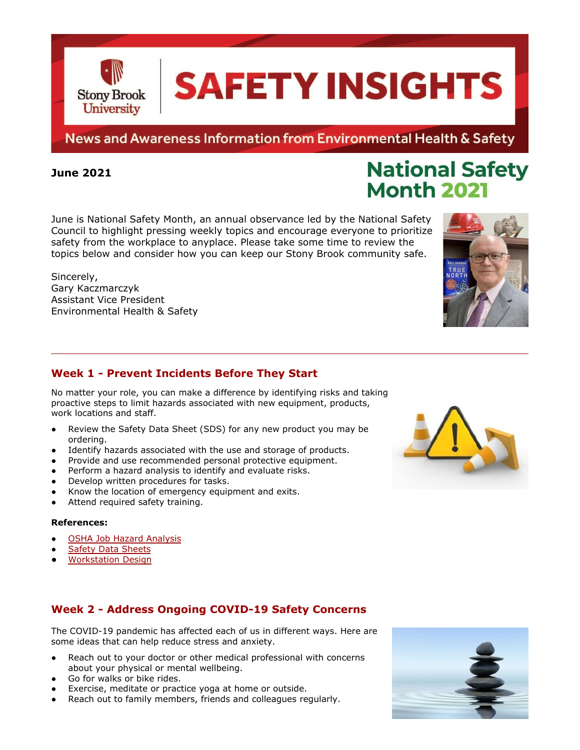News and Awareness Information from Environmental Health & Safety

### **June 2021**

June is National Safety Month, an annual observance led by the National Safety Council to highlight pressing weekly topics and encourage everyone to prioritize safety from the workplace to anyplace. Please take some time to review the topics below and consider how you can keep our Stony Brook community safe.

Sincerely, Gary Kaczmarczyk Assistant Vice President Environmental Health & Safety

# **Week 1 - Prevent Incidents Before They Start**

No matter your role, you can make a difference by identifying risks and taking proactive steps to limit hazards associated with new equipment, products, work locations and staff.

- Review the Safety Data Sheet (SDS) for any new product you may be ordering.
- Identify hazards associated with the use and storage of products.
- Provide and use recommended personal protective equipment.
- Perform a hazard analysis to identify and evaluate risks.
- Develop written procedures for tasks.
- Know the location of emergency equipment and exits.
- Attend required safety training.

#### **References:**

- [OSHA Job Hazard Analysis](https://www.osha.gov/sites/default/files/publications/osha3071.pdf)
- **[Safety Data Sheets](https://ehs.stonybrook.edu/resources/safety-data-sheet.php)**
- **[Workstation Design](https://www.osha.gov/computer-workstations)**

## **Week 2 - Address Ongoing COVID-19 Safety Concerns**

The COVID-19 pandemic has affected each of us in different ways. Here are some ideas that can help reduce stress and anxiety.

- Reach out to your doctor or other medical professional with concerns about your physical or mental wellbeing.
- Go for walks or bike rides.
- Exercise, meditate or practice yoga at home or outside.
- Reach out to family members, friends and colleagues regularly.







**National Safety** 

**Month 2021** 

# **SAFETY INSIGHTS**

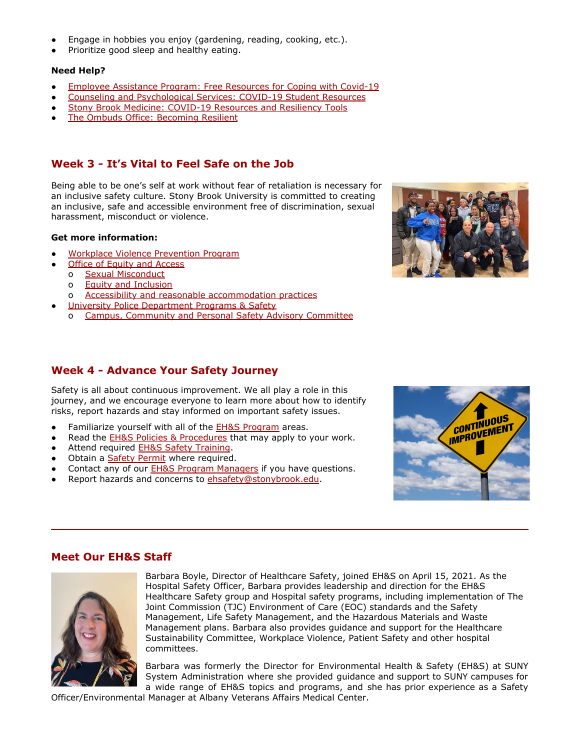- Engage in hobbies you enjoy (gardening, reading, cooking, etc.).
- Prioritize good sleep and healthy eating.

#### **Need Help?**

- [Employee Assistance Program: Free Resources for Coping](https://www.stonybrook.edu/commcms/eap/news/meditation-coronavirus.html) with Covid-19
- [Counseling and Psychological Services: COVID-19 Student](https://www.stonybrook.edu/commcms/studentaffairs/caps/resources/covid-19-resources.php) Resources
- [Stony Brook Medicine: COVID-19 Resources and Resiliency](https://www.stonybrookmedicine.edu/covid19support/basic_needs) Tools
- [The Ombuds Office: Becoming Resilient](https://www.stonybrook.edu/commcms/ombuds/resources/quick-tips/quicktipbecomingresilient.php)

# **Week 3 - It's Vital to Feel Safe on the Job**

Being able to be one's self at work without fear of retaliation is necessary for an inclusive safety culture. Stony Brook University is committed to creating an inclusive, safe and accessible environment free of discrimination, sexual harassment, misconduct or violence.

#### **Get more information:**

- [Workplace Violence Prevention Program](https://www.stonybrook.edu/hr/misc/wvp/prevention-program.shtml)
- **[Office of Equity and Access](https://www.stonybrook.edu/commcms/oea/)**
- o [Sexual Misconduct](https://www.stonybrook.edu/commcms/oea-sexual-misconduct/index.php)
	- o [Equity and Inclusion](https://www.stonybrook.edu/commcms/oea-equity/index.php)
- o [Accessibility and reasonable accommodation practices](https://www.stonybrook.edu/commcms/oea-accessibility/index.php)
- [University Police Department Programs & Safety](https://www.stonybrook.edu/commcms/police/programs/index.php)
	- o [Campus, Community and Personal Safety Advisory Committee](https://www.stonybrook.edu/commcms/police/programs/safety-advisory-committee.php)

# **Week 4 - Advance Your Safety Journey**

Safety is all about continuous improvement. We all play a role in this journey, and we encourage everyone to learn more about how to identify risks, report hazards and stay informed on important safety issues.

- Familiarize yourself with all of the **[EH&S Program](https://ehs.stonybrook.edu/)** areas.
- Read the [EH&S Policies & Procedures](https://ehs.stonybrook.edu/resources/ehs-policies-and-procedures/index.php) that may apply to your work.
- Attend required [EH&S Safety Training](https://ehs.stonybrook.edu/services/training/index.php).
- Obtain a **[Safety Permit](https://ehs.stonybrook.edu/services/safety-permits.php)** where required.
- Contact any of our **[EH&S Program Managers](https://ehs.stonybrook.edu/about-us/program-contacts)** if you have questions.
- Report hazards and concerns to [ehsafety@stonybrook.edu](mailto:ehsafety@stonybrook.edu).





## **Meet Our EH&S Staff**



Barbara Boyle, Director of Healthcare Safety, joined EH&S on April 15, 2021. As the Hospital Safety Officer, Barbara provides leadership and direction for the EH&S Healthcare Safety group and Hospital safety programs, including implementation of The Joint Commission (TJC) Environment of Care (EOC) standards and the Safety Management, Life Safety Management, and the Hazardous Materials and Waste Management plans. Barbara also provides guidance and support for the Healthcare Sustainability Committee, Workplace Violence, Patient Safety and other hospital committees.

Barbara was formerly the Director for Environmental Health & Safety (EH&S) at SUNY System Administration where she provided guidance and support to SUNY campuses for a wide range of EH&S topics and programs, and she has prior experience as a Safety

Officer/Environmental Manager at Albany Veterans Affairs Medical Center.